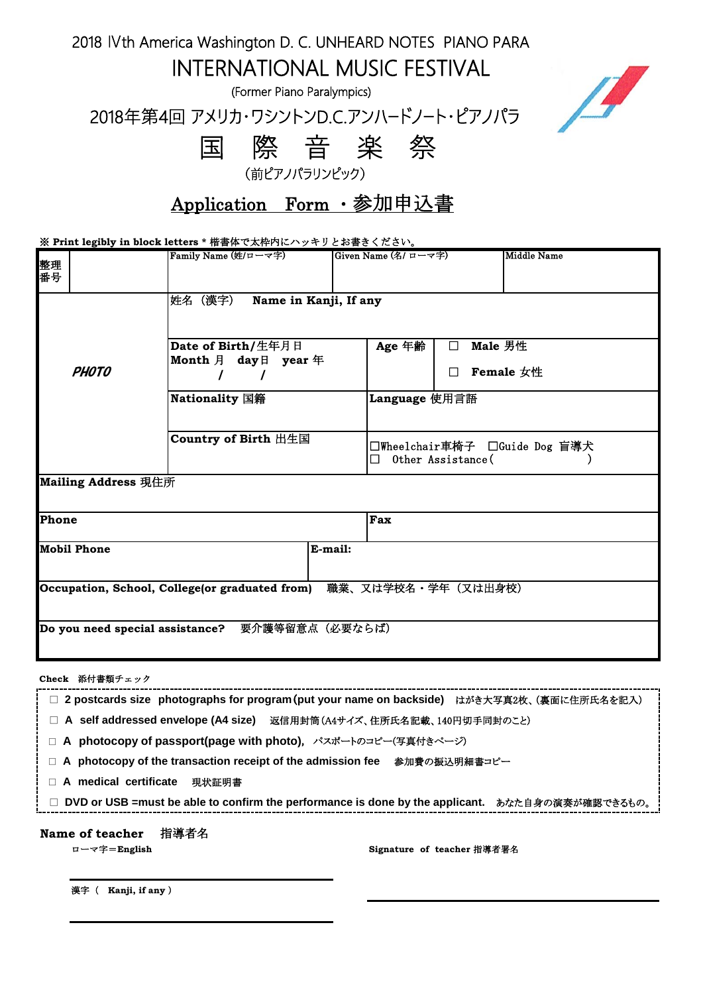2018 Ⅳth America Washington D. C. UNHEARD NOTES PIANO PARA

INTERNATIONAL MUSIC FESTIVAL

(Former Piano Paralympics)

2018年第4回 アメリカ・ワシントンD.C.アンハードノート・ピアノパラ



 国 際 音 楽 祭 (前ピアノパラリンピック)

Application Form ・参加申込書

※ **Print legibly in block letters \*** 楷書体で太枠内にハッキリとお書きください。

| 整理<br>番号                                        | Family Name (姓/ローマ字)                                               | Given Name (名/ ローマ字)                                    | <b>Middle Name</b>   |  |
|-------------------------------------------------|--------------------------------------------------------------------|---------------------------------------------------------|----------------------|--|
|                                                 | 姓名 (漢字)<br>Name in Kanji, If any                                   |                                                         |                      |  |
| <b>PHOTO</b>                                    | Date of Birth/生年月日<br>Month 月 day日 year 年                          | Age 年齢<br>П                                             | Male 男性<br>Female 女性 |  |
|                                                 | Nationality 国籍                                                     | Language 使用言語                                           |                      |  |
|                                                 | Country of Birth 出生国                                               | □Wheelchair車椅子 □Guide Dog 盲導犬<br>Other Assistance(<br>П |                      |  |
| Mailing Address 現住所                             |                                                                    |                                                         |                      |  |
| Phone                                           |                                                                    | Fax                                                     |                      |  |
| <b>Mobil Phone</b><br>E-mail:                   |                                                                    |                                                         |                      |  |
|                                                 | Occupation, School, College(or graduated from) 職業、又は学校名・学年 (又は出身校) |                                                         |                      |  |
| Do you need special assistance? 要介護等留意点 (必要ならば) |                                                                    |                                                         |                      |  |

**Check** 添付書類チェック

| □ 2 postcards size photographs for program (put your name on backside) はがき大写真2枚、(裏面に住所氏名を記入)      |  |  |
|---------------------------------------------------------------------------------------------------|--|--|
| □ A_self addressed envelope (A4 size)  返信用封筒(A4サイズ、住所氏名記載、140円切手同封のこと)                            |  |  |
| □ A photocopy of passport(page with photo), パスポートのコピー(写真付きページ)                                    |  |  |
| □ A _photocopy of the transaction receipt of the admission fee __参加費の振込明細書⊐ピー                     |  |  |
| $\Box$ A medical certificate<br>現状証明書                                                             |  |  |
| □ DVD or USB =must be able to confirm the performance is done by the applicant. あなた自身の演奏が確認できるもの。 |  |  |
| 指導者名<br>Name of teacher                                                                           |  |  |

ローマ字=**English Signature of teacher** 指導者署名

漢字( **Kanji, if any** )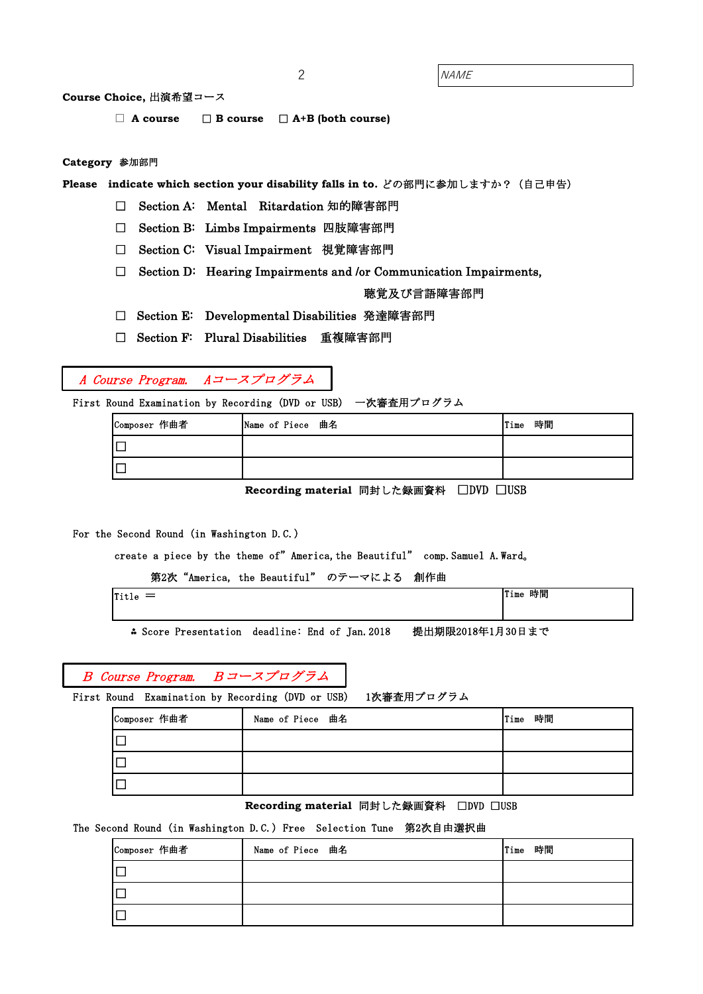2 NAME

## **Course Choice,** 出演希望コース

□ **A course** □ **B course**  □ **A+B (both course)**

### **Category** 参加部門

**Please** indicate which section your disability falls in to. どの部門に参加しますか? (自己申告)

□ Section A: Mental Ritardation 知的障害部門

□ Section B: Limbs Impairments 四肢障害部門

- □ Section C: Visual Impairment 視覚障害部門
- $\Box$  Section D: Hearing Impairments and /or Communication Impairments,

聴覚及び言語障害部門

□ Section E: Developmental Disabilities 発達障害部門

□ Section F: Plural Disabilities 重複障害部門

# A Course Program. Aコースプログラム

First Round Examination by Recording (DVD or USB) 一次審査用プログラム

| Composer 作曲者 | Name of Piece 曲名 | 時間<br>Time |
|--------------|------------------|------------|
|              |                  |            |
|              |                  |            |

Recording material 同封した録画資料 □DVD □USB

#### For the Second Round (in Washington D.C.)

create a piece by the theme of" America, the Beautiful" comp. Samuel A. Ward.

第2次"America, the Beautiful" のテーマによる 創作曲

| .<br>$\overline{\phantom{a}}$<br>-<br>urue | 時間<br>Time<br>. |
|--------------------------------------------|-----------------|
|                                            |                 |
|                                            |                 |

⁂ Score Presentation deadline: End of Jan.2018 提出期限2018年1月30日まで

## B Course Program. Bコースプログラム

First Round Examination by Recording (DVD or USB) 1次審査用プログラム

| Composer 作曲者 | Name of Piece 曲名 | Time 時間 |
|--------------|------------------|---------|
|              |                  |         |
|              |                  |         |
|              |                  |         |

**Recording material 同封した録画資料 □DVD □USB** 

## The Second Round (in Washington D.C.) Free Selection Tune 第2次自由選択曲

| Composer 作曲者 | Name of Piece 曲名 | 時間<br>Time |
|--------------|------------------|------------|
| $\Box$       |                  |            |
| ΙC           |                  |            |
| $\Box$       |                  |            |